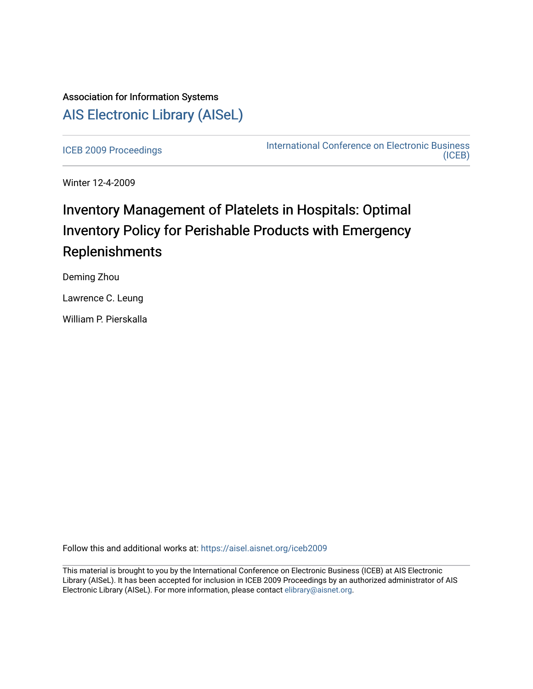## Association for Information Systems [AIS Electronic Library \(AISeL\)](https://aisel.aisnet.org/)

[ICEB 2009 Proceedings](https://aisel.aisnet.org/iceb2009) **International Conference on Electronic Business** [\(ICEB\)](https://aisel.aisnet.org/iceb) 

Winter 12-4-2009

# Inventory Management of Platelets in Hospitals: Optimal Inventory Policy for Perishable Products with Emergency Replenishments

Deming Zhou

Lawrence C. Leung

William P. Pierskalla

Follow this and additional works at: [https://aisel.aisnet.org/iceb2009](https://aisel.aisnet.org/iceb2009?utm_source=aisel.aisnet.org%2Ficeb2009%2F101&utm_medium=PDF&utm_campaign=PDFCoverPages)

This material is brought to you by the International Conference on Electronic Business (ICEB) at AIS Electronic Library (AISeL). It has been accepted for inclusion in ICEB 2009 Proceedings by an authorized administrator of AIS Electronic Library (AISeL). For more information, please contact [elibrary@aisnet.org.](mailto:elibrary@aisnet.org%3E)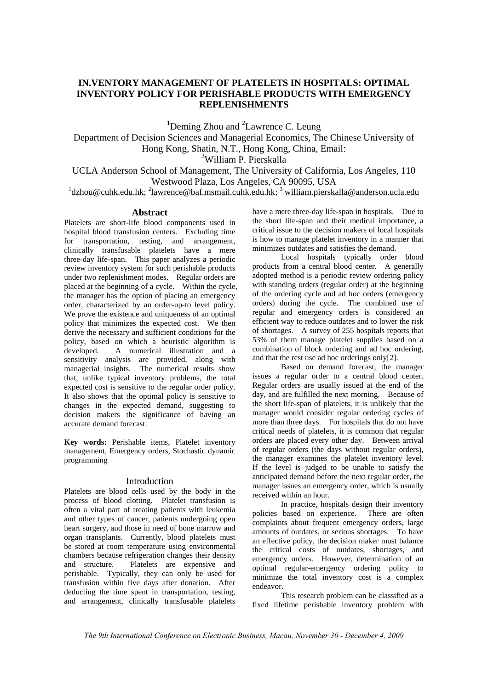## **IN.VENTORY MANAGEMENT OF PLATELETS IN HOSPITALS: OPTIMAL INVENTORY POLICY FOR PERISHABLE PRODUCTS WITH EMERGENCY REPLENISHMENTS**

<sup>1</sup>Deming Zhou and <sup>2</sup>Lawrence C. Leung

Department of Decision Sciences and Managerial Economics, The Chinese University of Hong Kong, Shatin, N.T., Hong Kong, China, Email:

3 William P. Pierskalla

UCLA Anderson School of Management, The University of California, Los Angeles, 110 Westwood Plaza, Los Angeles, CA 90095, USA

<sup>1</sup> dzhou @cuhk.edu.hk; <sup>2</sup> lawrence @baf.msmail.cuhk.edu.hk; <sup>3</sup> william.pierskalla @anderson.ucla.edu

## **Abstract**

Platelets are short-life blood components used in hospital blood transfusion centers. Excluding time for transportation, testing, and arrangement, clinically transfusable platelets have a mere three-day life-span. This paper analyzes a periodic review inventory system for such perishable products under two replenishment modes. Regular orders are placed at the beginning of a cycle. Within the cycle, the manager has the option of placing an emergency order, characterized by an order-up-to level policy. We prove the existence and uniqueness of an optimal policy that minimizes the expected cost. We then derive the necessary and sufficient conditions for the policy, based on which a heuristic algorithm is developed. A numerical illustration and a sensitivity analysis are provided, along with managerial insights. The numerical results show that, unlike typical inventory problems, the total expected cost is sensitive to the regular order policy. It also shows that the optimal policy is sensitive to changes in the expected demand, suggesting to decision makers the significance of having an accurate demand forecast.

**Key words:** Perishable items, Platelet inventory management, Emergency orders, Stochastic dynamic programming

## Introduction

Platelets are blood cells used by the body in the process of blood clotting. Platelet transfusion is often a vital part of treating patients with leukemia and other types of cancer, patients undergoing open heart surgery, and those in need of bone marrow and organ transplants. Currently, blood platelets must be stored at room temperature using environmental chambers because refrigeration changes their density and structure. Platelets are expensive and perishable. Typically, they can only be used for transfusion within five days after donation. After deducting the time spent in transportation, testing, and arrangement, clinically transfusable platelets

have a mere three-day life-span in hospitals. Due to the short life-span and their medical importance, a critical issue to the decision makers of local hospitals is how to manage platelet inventory in a manner that minimizes outdates and satisfies the demand.

Local hospitals typically order blood products from a central blood center. A generally adopted method is a periodic review ordering policy with standing orders (regular order) at the beginning of the ordering cycle and ad hoc orders (emergency orders) during the cycle. The combined use of regular and emergency orders is considered an efficient way to reduce outdates and to lower the risk of shortages. A survey of 255 hospitals reports that 53% of them manage platelet supplies based on a combination of block ordering and ad hoc ordering, and that the rest use ad hoc orderings only[2].

Based on demand forecast, the manager issues a regular order to a central blood center. Regular orders are usually issued at the end of the day, and are fulfilled the next morning. Because of the short life-span of platelets, it is unlikely that the manager would consider regular ordering cycles of more than three days. For hospitals that do not have critical needs of platelets, it is common that regular orders are placed every other day. Between arrival of regular orders (the days without regular orders), the manager examines the platelet inventory level. If the level is judged to be unable to satisfy the anticipated demand before the next regular order, the manager issues an emergency order, which is usually received within an hour.

In practice, hospitals design their inventory policies based on experience. There are often complaints about frequent emergency orders, large amounts of outdates, or serious shortages. To have an effective policy, the decision maker must balance the critical costs of outdates, shortages, and emergency orders. However, determination of an optimal regular-emergency ordering policy to minimize the total inventory cost is a complex endeavor.

This research problem can be classified as a fixed lifetime perishable inventory problem with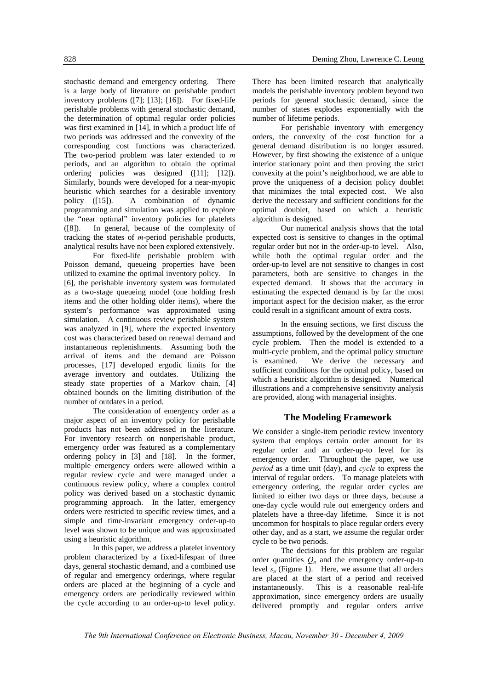stochastic demand and emergency ordering. There is a large body of literature on perishable product inventory problems ([7]; [13]; [16]). For fixed-life perishable problems with general stochastic demand, the determination of optimal regular order policies was first examined in [14], in which a product life of two periods was addressed and the convexity of the corresponding cost functions was characterized. The two-period problem was later extended to *m* periods, and an algorithm to obtain the optimal ordering policies was designed ([11]; [12]). Similarly, bounds were developed for a near-myopic heuristic which searches for a desirable inventory policy ([15]). A combination of dynamic programming and simulation was applied to explore the "near optimal" inventory policies for platelets ([8]). In general, because of the complexity of tracking the states of *m*-period perishable products, analytical results have not been explored extensively.

For fixed-life perishable problem with Poisson demand, queueing properties have been utilized to examine the optimal inventory policy. In [6], the perishable inventory system was formulated as a two-stage queueing model (one holding fresh items and the other holding older items), where the system's performance was approximated using simulation. A continuous review perishable system was analyzed in [9], where the expected inventory cost was characterized based on renewal demand and instantaneous replenishments. Assuming both the arrival of items and the demand are Poisson processes, [17] developed ergodic limits for the average inventory and outdates. Utilizing the steady state properties of a Markov chain, [4] obtained bounds on the limiting distribution of the number of outdates in a period.

The consideration of emergency order as a major aspect of an inventory policy for perishable products has not been addressed in the literature. For inventory research on nonperishable product, emergency order was featured as a complementary ordering policy in [3] and [18]. In the former, multiple emergency orders were allowed within a regular review cycle and were managed under a continuous review policy, where a complex control policy was derived based on a stochastic dynamic programming approach. In the latter, emergency orders were restricted to specific review times, and a simple and time-invariant emergency order-up-to level was shown to be unique and was approximated using a heuristic algorithm.

In this paper, we address a platelet inventory problem characterized by a fixed-lifespan of three days, general stochastic demand, and a combined use of regular and emergency orderings, where regular orders are placed at the beginning of a cycle and emergency orders are periodically reviewed within the cycle according to an order-up-to level policy.

There has been limited research that analytically models the perishable inventory problem beyond two periods for general stochastic demand, since the number of states explodes exponentially with the number of lifetime periods.

For perishable inventory with emergency orders, the convexity of the cost function for a general demand distribution is no longer assured. However, by first showing the existence of a unique interior stationary point and then proving the strict convexity at the point's neighborhood, we are able to prove the uniqueness of a decision policy doublet that minimizes the total expected cost. We also derive the necessary and sufficient conditions for the optimal doublet, based on which a heuristic algorithm is designed.

Our numerical analysis shows that the total expected cost is sensitive to changes in the optimal regular order but not in the order-up-to level. Also, while both the optimal regular order and the order-up-to level are not sensitive to changes in cost parameters, both are sensitive to changes in the expected demand. It shows that the accuracy in estimating the expected demand is by far the most important aspect for the decision maker, as the error could result in a significant amount of extra costs.

In the ensuing sections, we first discuss the assumptions, followed by the development of the one cycle problem. Then the model is extended to a multi-cycle problem, and the optimal policy structure is examined. We derive the necessary and sufficient conditions for the optimal policy, based on which a heuristic algorithm is designed. Numerical illustrations and a comprehensive sensitivity analysis are provided, along with managerial insights.

## **The Modeling Framework**

We consider a single-item periodic review inventory system that employs certain order amount for its regular order and an order-up-to level for its emergency order. Throughout the paper, we use *period* as a time unit (day), and *cycle* to express the interval of regular orders. To manage platelets with emergency ordering, the regular order cycles are limited to either two days or three days, because a one-day cycle would rule out emergency orders and platelets have a three-day lifetime. Since it is not uncommon for hospitals to place regular orders every other day, and as a start, we assume the regular order cycle to be two periods.

The decisions for this problem are regular order quantities  $Q_n$  and the emergency order-up-to level  $s_n$  (Figure 1). Here, we assume that all orders are placed at the start of a period and received instantaneously. This is a reasonable real-life approximation, since emergency orders are usually delivered promptly and regular orders arrive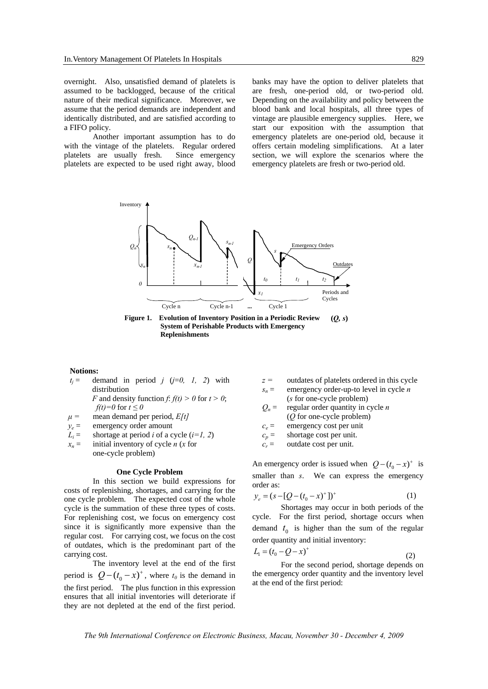overnight. Also, unsatisfied demand of platelets is assumed to be backlogged, because of the critical nature of their medical significance. Moreover, we assume that the period demands are independent and identically distributed, and are satisfied according to a FIFO policy.

Another important assumption has to do with the vintage of the platelets. Regular ordered platelets are usually fresh. Since emergency platelets are expected to be used right away, blood banks may have the option to deliver platelets that are fresh, one-period old, or two-period old. Depending on the availability and policy between the blood bank and local hospitals, all three types of vintage are plausible emergency supplies. Here, we start our exposition with the assumption that emergency platelets are one-period old, because it offers certain modeling simplifications. At a later section, we will explore the scenarios where the emergency platelets are fresh or two-period old.



**(***Q, s***) Figure 1. Evolution of Inventory Position in a Periodic Review System of Perishable Products with Emergency Replenishments** 

#### **Notions:**

- $t_j$  = demand in period *j* (*j*=0, *l*, 2) with distribution
	- *F* and density function *f*:  $f(t) > 0$  for  $t > 0$ ; *f(t)*=0 for  $t \le 0$
- $\mu =$  mean demand per period, *E[t]*
- $y_e$  = emergency order amount
- $L_i$  = shortage at period *i* of a cycle ( $i=1, 2$ )
- $x_n =$  initial inventory of cycle *n* (*x* for one-cycle problem)

#### **One Cycle Problem**

In this section we build expressions for costs of replenishing, shortages, and carrying for the one cycle problem. The expected cost of the whole cycle is the summation of these three types of costs. For replenishing cost, we focus on emergency cost since it is significantly more expensive than the regular cost. For carrying cost, we focus on the cost of outdates, which is the predominant part of the carrying cost.

The inventory level at the end of the first period is  $Q - (t_0 - x)^+$ , where  $t_0$  is the demand in the first period. The plus function in this expression ensures that all initial inventories will deteriorate if they are not depleted at the end of the first period.

- *z =* outdates of platelets ordered in this cycle
- $s_n$  = emergency order-up-to level in cycle *n* (*s* for one-cycle problem)
- $Q_n$  = regular order quantity in cycle *n*
- (*Q* for one-cycle problem)
- $c_e$  = emergency cost per unit
- $c_p$  = shortage cost per unit.  $c_r$  = outdate cost per unit.
- 

An emergency order is issued when  $Q - (t_0 - x)^+$  is smaller than *s*. We can express the emergency order as:

$$
y_e = (s - [Q - (t_0 - x)^+]^+ \tag{1}
$$

Shortages may occur in both periods of the cycle. For the first period, shortage occurs when demand  $t_0$  is higher than the sum of the regular order quantity and initial inventory:

$$
L_1 = (t_0 - Q - x)^{+}
$$
 (2)

For the second period, shortage depends on the emergency order quantity and the inventory level at the end of the first period: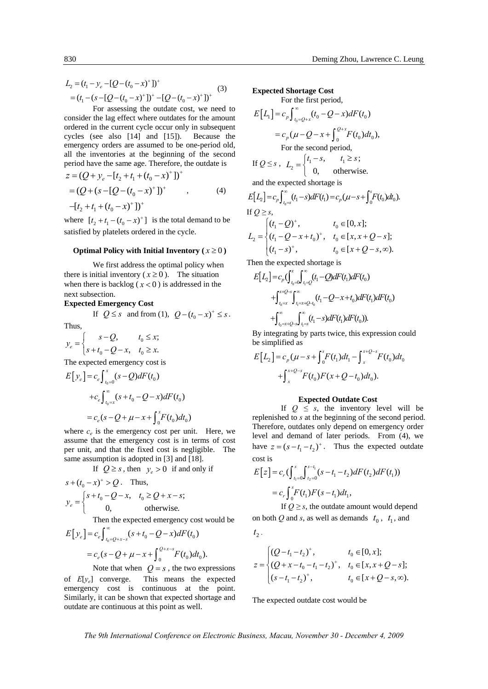$$
L_2 = (t_1 - y_e - [Q - (t_0 - x)^+]^+
$$
  
=  $(t_1 - (s - [Q - (t_0 - x)^+]^+ - [Q - (t_0 - x)^+]^+)$  (3)

For assessing the outdate cost, we need to consider the lag effect where outdates for the amount ordered in the current cycle occur only in subsequent cycles (see also [14] and [15]). Because the emergency orders are assumed to be one-period old, all the inventories at the beginning of the second period have the same age. Therefore, the outdate is

$$
z = (Q + y_e - [t_2 + t_1 + (t_0 - x)^+]^+
$$
  
=  $(Q + (s - [Q - (t_0 - x)^+]^+)$ , (4)  
 $-[t_2 + t_1 + (t_0 - x)^+]^+$ 

where  $[t_2 + t_1 - (t_0 - x)^+]$  is the total demand to be satisfied by platelets ordered in the cycle.

#### **Optimal Policy with Initial Inventory**  $(x \ge 0)$

We first address the optimal policy when there is initial inventory ( $x \ge 0$ ). The situation when there is backlog  $(x < 0)$  is addressed in the next subsection.

## **Expected Emergency Cost**

If *Q* ≤ *s* and from (1),  $Q - (t_0 - x)^+$  ≤ *s*.

Thus,

$$
y_e = \begin{cases} s - Q, & t_0 \le x; \\ s + t_0 - Q - x, & t_0 \ge x. \end{cases}
$$
  
The expected convergence cost is

The expected emergency cost is

$$
E[y_e] = c_e \int_{t_0=0}^{x} (s - Q) dF(t_0)
$$
  
+
$$
+ c_e \int_{t_0=x}^{\infty} (s + t_0 - Q - x) dF(t_0)
$$
  
= 
$$
c_e (s - Q + \mu - x + \int_{0}^{x} F(t_0) dt_0)
$$

where  $c_e$  is the emergency cost per unit. Here, we assume that the emergency cost is in terms of cost per unit, and that the fixed cost is negligible. The same assumption is adopted in [3] and [18].

If  $Q \geq s$ , then  $y_e > 0$  if and only if

$$
s + (t_0 - x)^+ > Q.
$$
 Thus,  

$$
y_e = \begin{cases} s + t_0 - Q - x, & t_0 \ge Q + x - s; \\ 0, & \text{otherwise.} \end{cases}
$$

Then the expected emergency cost would be

$$
E[y_e] = c_e \int_{t_0 = Q + x - s}^{\infty} (s + t_0 - Q - x) dF(t_0)
$$
  
=  $c_e (s - Q + \mu - x + \int_0^{Q + x - s} F(t_0) dt_0).$ 

Note that when  $Q = s$ , the two expressions of *E*[*ye*] converge. This means the expected emergency cost is continuous at the point. Similarly, it can be shown that expected shortage and outdate are continuous at this point as well.

#### **Expected Shortage Cost**  For the first period,

$$
E[L_1] = c_p \int_{t_0=Q+x}^{\infty} (t_0 - Q - x) dF(t_0)
$$
  
\n
$$
= c_p (\mu - Q - x + \int_0^{Q+x} F(t_0) dt_0),
$$
  
\nFor the second period,  
\nIf  $Q \le s$ ,  $L_2 = \begin{cases} t_1 - s, & t_1 \ge s; \\ 0, & \text{otherwise.} \end{cases}$ 

apected

$$
E[L_2] = c_p \int_{t_0 = s}^{\infty} (t_1 - s) dF(t_1) = c_p (\mu - s + \int_0^s F(t_0) dt_0).
$$
  
If  $Q \ge s$ ,  

$$
L_2 = \begin{cases} (t_1 - Q)^+, & t_0 \in [0, x]; \\ (t_1 - Q - x + t_0)^+, & t_0 \in [x, x + Q - s]; \\ (t_1 - s)^+, & t_0 \in [x + Q - s, \infty). \end{cases}
$$

Then the expected shortage is

$$
E[L_2] = c_p \int_{t_0=0}^{x} \int_{t_1=0}^{\infty} (t_1 - Q) dF(t_1) dF(t_0)
$$
  
+ 
$$
\int_{t_0=x}^{x+Q-s} \int_{t_1=x+Q-t_0}^{\infty} (t_1 - Q - x + t_0) dF(t_1) dF(t_0)
$$
  
+ 
$$
\int_{t_0=x+Q-s}^{\infty} \int_{t_1=s}^{\infty} (t_1 - s) dF(t_1) dF(t_0).
$$

By integrating by parts twice, this expression could be simplified as

$$
E[L_2] = c_p (\mu - s + \int_0^s F(t_1) dt_1 - \int_x^{x+Q-s} F(t_0) dt_0
$$
  
+ 
$$
\int_x^{x+Q-s} F(t_0) F(x+Q-t_0) dt_0).
$$

#### **Expected Outdate Cost**

If  $Q \leq s$ , the inventory level will be replenished to *s* at the beginning of the second period. Therefore, outdates only depend on emergency order level and demand of later periods. From (4), we have  $z = (s - t_1 - t_2)^+$ . Thus the expected outdate cost is

$$
E[z] = c_r \left( \int_{t_1=0}^s \int_{t_2=0}^{s-t_1} (s - t_1 - t_2) dF(t_2) dF(t_1) \right)
$$
  
=  $c_r \int_0^s F(t_1) F(s - t_1) dt_1$ ,

If  $Q \geq s$ , the outdate amount would depend on both *Q* and *s*, as well as demands  $t_0$ ,  $t_1$ , and

$$
t_2^{\phantom{\dag}}.
$$

$$
z = \begin{cases} (Q - t_1 - t_2)^+, & t_0 \in [0, x]; \\ (Q + x - t_0 - t_1 - t_2)^+, & t_0 \in [x, x + Q - s]; \\ (s - t_1 - t_2)^+, & t_0 \in [x + Q - s, \infty). \end{cases}
$$

The expected outdate cost would be

*The 9th International Conference on Electronic Business, Macau, November 30 - December 4, 2009*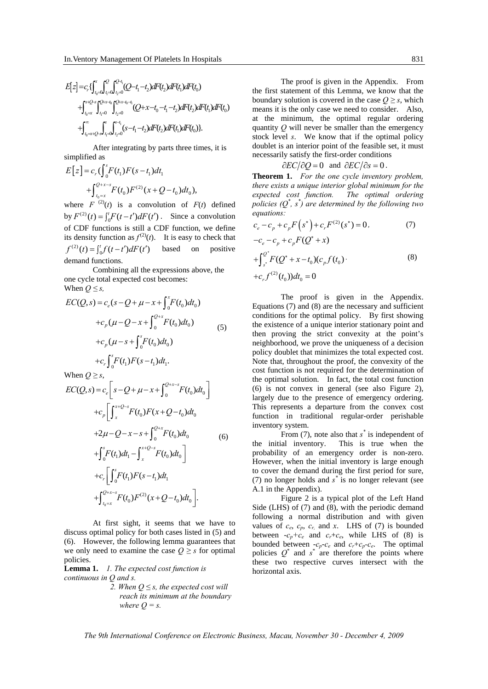$$
E[z] = c_r \left\{ \int_{t_0=0}^{x} \int_{t_1=0}^{Q} \int_{t_2=0}^{Q-t_1} (Q-t_1-t_2) dF(t_2) dF(t_1) dF(t_0) \right. \\ \left. + \int_{t_0=x}^{x+Q-s} \int_{t_1=0}^{Q+x-t_0} \int_{t_2=0}^{Q+x-t_0-t_1} (Q+x-t_0-t_1-t_2) dF(t_2) dF(t_1) dF(t_0) \right\}.
$$

After integrating by parts three times, it is simplified as

$$
E[z] = c_r \left(\int_0^s F(t_1) F(s - t_1) dt_1 + \int_{t_0 = x}^{Q+x-s} F(t_0) F^{(2)}(x + Q - t_0) dt_0\right),
$$

where  $F^{(2)}(t)$  is a convolution of  $F(t)$  defined by  $F^{(2)}(t) = \int_0^t F(t-t')dF(t')$ . Since a convolution of CDF functions is still a CDF function, we define its density function as  $f^{(2)}(t)$ . It is easy to check that  $f^{(2)}(t) = \int_0^t f(t-t')dF(t')$  based on positive demand functions.

Combining all the expressions above, the one cycle total expected cost becomes: When  $Q \leq s$ ,

$$
EC(Q,s) = c_e(s - Q + \mu - x + \int_0^x F(t_0) dt_0)
$$
  
+
$$
c_p(\mu - Q - x + \int_0^{Q+x} F(t_0) dt_0)
$$
  
+
$$
c_p(\mu - s + \int_0^s F(t_0) dt_0)
$$
  
+
$$
c_r \int_0^s F(t_1) F(s - t_1) dt_1.
$$
 (5)

When  $Q \geq s$ ,

$$
EC(Q,s) = c_e \left[ s - Q + \mu - x + \int_0^{Q+x-s} F(t_0) dt_0 \right]
$$
  
+
$$
c_p \left[ \int_x^{x+Q-s} F(t_0) F(x+Q-t_0) dt_0 + 2\mu - Q - x - s + \int_0^{Q+x} F(t_0) dt_0 + \int_0^s F(t_1) dt_1 - \int_x^{x+Q-s} F(t_0) dt_0 \right]
$$
  
+
$$
c_r \left[ \int_0^s F(t_1) F(s-t_1) dt_1 + \int_{t_0=x}^{Q+x-s} F(t_0) F^{(2)}(x+Q-t_0) dt_0 \right].
$$

At first sight, it seems that we have to discuss optimal policy for both cases listed in (5) and (6). However, the following lemma guarantees that we only need to examine the case  $Q \geq s$  for optimal policies.

**Lemma 1.** *1. The expected cost function is continuous in Q and s.* 

> *2. When Q ≤ s, the expected cost will reach its minimum at the boundary where*  $Q = s$ *.*

The proof is given in the Appendix. From the first statement of this Lemma, we know that the boundary solution is covered in the case  $Q \geq s$ , which means it is the only case we need to consider. Also, at the minimum, the optimal regular ordering quantity *Q* will never be smaller than the emergency stock level *s*. We know that if the optimal policy doublet is an interior point of the feasible set, it must necessarily satisfy the first-order conditions

 $\partial EC/\partial Q = 0$  and  $\partial EC/\partial s = 0$ .

**Theorem 1.** *For the one cycle inventory problem, there exists a unique interior global minimum for the expected cost function. The optimal ordering policies (Q\* , s\* ) are determined by the following two equations:* 

$$
c_e - c_p + c_p F(s^*) + c_r F^{(2)}(s^*) = 0,
$$
  
\n
$$
-c_e - c_p + c_p F(Q^* + x)
$$
  
\n
$$
+ \int_{s^*}^{Q^*} F(Q^* + x - t_0)(c_p f(t_0).
$$
  
\n
$$
+c_r f^{(2)}(t_0))dt_0 = 0
$$
  
\n(8)

The proof is given in the Appendix. Equations (7) and (8) are the necessary and sufficient conditions for the optimal policy. By first showing the existence of a unique interior stationary point and then proving the strict convexity at the point's neighborhood, we prove the uniqueness of a decision policy doublet that minimizes the total expected cost. Note that, throughout the proof, the convexity of the cost function is not required for the determination of the optimal solution. In fact, the total cost function (6) is not convex in general (see also Figure 2), largely due to the presence of emergency ordering. This represents a departure from the convex cost function in traditional regular-order perishable inventory system.

From  $(7)$ , note also that  $s^*$  is independent of the initial inventory. This is true when the probability of an emergency order is non-zero. However, when the initial inventory is large enough to cover the demand during the first period for sure, (7) no longer holds and *s \** is no longer relevant (see A.1 in the Appendix).

Figure 2 is a typical plot of the Left Hand Side (LHS) of (7) and (8), with the periodic demand following a normal distribution and with given values of  $c_e$ ,  $c_p$ ,  $c_r$ , and  $x$ . LHS of (7) is bounded between  $-c_p+c_e$  and  $c_r+c_e$ , while LHS of (8) is bounded between  $-c_p-c_e$  and  $c_r+c_p-c_e$ . The optimal policies  $Q^*$  and  $s^*$  are therefore the points where these two respective curves intersect with the horizontal axis.

*The 9th International Conference on Electronic Business, Macau, November 30 - December 4, 2009*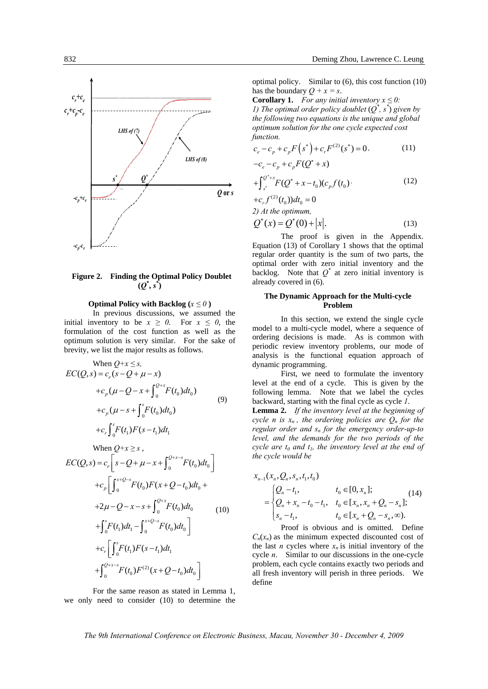

## **Figure 2. Finding the Optimal Policy Doublet**   $(Q^*, s^*)$

#### **Optimal Policy with Backlog**  $(x \leq 0)$

In previous discussions, we assumed the initial inventory to be  $x \ge 0$ . For  $x \le 0$ , the formulation of the cost function as well as the optimum solution is very similar. For the sake of brevity, we list the major results as follows.

When 
$$
Q+x \le s
$$
,  
\n
$$
EC(Q, s) = c_e(s - Q + \mu - x)
$$
\n
$$
+c_p(\mu - Q - x + \int_0^{Q+x} F(t_0) dt_0)
$$
\n
$$
+c_p(\mu - s + \int_0^s F(t_0) dt_0)
$$
\n
$$
+c_r \int_0^s F(t_1)F(s - t_1) dt_1
$$
\nWhen  $Q+x \ge s$ ,  
\n
$$
EC(Q, s) = c_e \left[ s - Q + \mu - x + \int_0^{Q+x-s} F(t_0) dt_0 \right]
$$
\n
$$
+c_p \left[ \int_0^{x+Q-s} F(t_0)F(x + Q - t_0) dt_0 + 2\mu - Q - x - s + \int_0^{Q+x} F(t_0) dt_0 \right]
$$
\n
$$
+ \int_0^s F(t_1) dt_1 - \int_0^{x+Q-s} F(t_0) dt_0
$$
\n
$$
+c_r \left[ \int_0^s F(t_1)F(s - t_1) dt_1 + \int_0^{Q+x-s} F(t_0)F^{(2)}(x + Q - t_0) dt_0 \right]
$$

For the same reason as stated in Lemma 1, we only need to consider (10) to determine the optimal policy. Similar to (6), this cost function (10) has the boundary  $Q + x = s$ .

**Corollary 1.** *For any initial inventory*  $x \leq 0$ *: 1) The optimal order policy doublet*  $(Q^*, s^*)$  given by *the following two equations is the unique and global optimum solution for the one cycle expected cost function.* 

$$
c_e - c_p + c_p F(s^*) + c_r F^{(2)}(s^*) = 0,
$$
 (11)

$$
-c_e - c_p + c_p F(Q^* + x)
$$

$$
+\int_{s^*}^{\mathcal{Q}^*+x} F(\mathcal{Q}^*+x-t_0)(c_p f(t_0)\cdot\tag{12}
$$

 $+c_r f^{(2)}(t_0) dt_0 = 0$ *2) At the optimum,* 

$$
Q^*(x) = Q^*(0) + |x|.
$$
 (13)

The proof is given in the Appendix. Equation (13) of Corollary 1 shows that the optimal regular order quantity is the sum of two parts, the optimal order with zero initial inventory and the backlog. Note that  $Q^*$  at zero initial inventory is already covered in (6).

#### **The Dynamic Approach for the Multi-cycle Problem**

In this section, we extend the single cycle model to a multi-cycle model, where a sequence of ordering decisions is made. As is common with periodic review inventory problems, our mode of analysis is the functional equation approach of dynamic programming.

First, we need to formulate the inventory level at the end of a cycle. This is given by the following lemma. Note that we label the cycles backward, starting with the final cycle as cycle *1*.

**Lemma 2.** *If the inventory level at the beginning of cycle n is*  $x_n$ *, the ordering policies are*  $Q_n$  *for the regular order and sn for the emergency order-up-to level, and the demands for the two periods of the cycle are*  $t_0$  *and*  $t_1$ *, the inventory level at the end of the cycle would be* 

$$
x_{n-1}(x_n, Q_n, s_n, t_1, t_0)
$$
  
= 
$$
\begin{cases} Q_n - t_1, & t_0 \in [0, x_n]; \\ Q_n + x_n - t_0 - t_1, & t_0 \in [x_n, x_n + Q_n - s_n]; \\ s_n - t_1, & t_0 \in [x_n + Q_n - s_n, \infty). \end{cases}
$$
(14)

Proof is obvious and is omitted. Define  $C_n(x_n)$  as the minimum expected discounted cost of the last *n* cycles where  $x_n$  is initial inventory of the cycle *n*. Similar to our discussions in the one-cycle problem, each cycle contains exactly two periods and all fresh inventory will perish in three periods. We define

*The 9th International Conference on Electronic Business, Macau, November 30 - December 4, 2009*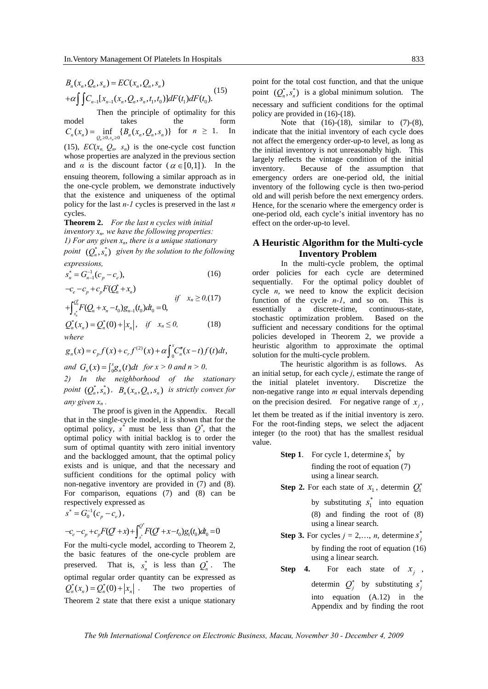$$
B_n(x_n, Q_n, s_n) = EC(x_n, Q_n, s_n)
$$
  
+ $\alpha \int \int C_{n-1}[x_{n-1}(x_n, Q_n, s_n, t_1, t_0)]dF(t_1)dF(t_0).$  (15)

 Then the principle of optimality for this model takes the form  $C_n(x_n) = \inf_{Q_n \ge 0, s_n \ge 0} \{B_n(x_n, Q_n, s_n)\}$  for  $n \ge 1$ . In (15),  $EC(x_n, Q_n, s_n)$  is the one-cycle cost function whose properties are analyzed in the previous section and  $\alpha$  is the discount factor ( $\alpha \in [0,1]$ ). In the ensuing theorem, following a similar approach as in the one-cycle problem, we demonstrate inductively that the existence and uniqueness of the optimal policy for the last *n-1* cycles is preserved in the last *n* cycles.

**Theorem 2.** *For the last n cycles with initial inventory xn, we have the following properties: 1) For any given*  $x_n$ *, there is a unique stationary point*  $(Q_n^*, s_n^*)$  *given by the solution to the following expressions,* 

$$
s_n^* = G_{n-1}^{-1}(c_p - c_e),
$$
 (16)

$$
-c_e - c_p + c_p F(Q_n^* + x_n)
$$
  
+ 
$$
\int_{s_n^*}^{Q_n^*} F(Q_n + x_n - t_0) g_{n-1}(t_0) dt_0 = 0,
$$
  

$$
Q_n^*(x_n) = Q_n^*(0) + |x_n|, \quad \text{if} \quad x_n \le 0,
$$
 (18)  
where

$$
g_n(x) = c_p f(x) + c_r f^{(2)}(x) + \alpha \int_0^x C_n''(x - t) f(t) dt,
$$

*and*  $G_n(x) = \int_{0}^{x} g_n(t) dt$  *for*  $x > 0$  *and*  $n > 0$ .

*2) In the neighborhood of the stationary point*  $(Q^*_s, s^*_s)$ ,  $B_s(x_*, Q_s, s_s)$  *is strictly convex for any given*  $x_n$ .

The proof is given in the Appendix. Recall that in the single-cycle model, it is shown that for the optimal policy,  $s^*$  must be less than  $Q^*$ , that the optimal policy with initial backlog is to order the sum of optimal quantity with zero initial inventory and the backlogged amount, that the optimal policy exists and is unique, and that the necessary and sufficient conditions for the optimal policy with non-negative inventory are provided in (7) and (8). For comparison, equations (7) and (8) can be respectively expressed as

$$
s^* = G_0^{-1}(c_p - c_e),
$$
  
-c\_e - c\_p + c\_p F(Q^\* + x) +  $\int_s^{Q^*} F(Q^* + x - t_0)g_1(t_0)dt_0 = 0$ 

For the multi-cycle model, according to Theorem 2, the basic features of the one-cycle problem are preserved. That is,  $s_n^*$  is less than  $Q_n^*$ . The optimal regular order quantity can be expressed as  $Q_n^*(x_n) = Q_n^*(0) + |x_n|$ . The two properties of Theorem 2 state that there exist a unique stationary

point for the total cost function, and that the unique point  $(Q_n^*, s_n^*)$  is a global minimum solution. The necessary and sufficient conditions for the optimal policy are provided in (16)-(18).

Note that  $(16)-(18)$ , similar to  $(7)-(8)$ , indicate that the initial inventory of each cycle does not affect the emergency order-up-to level, as long as the initial inventory is not unreasonably high. This largely reflects the vintage condition of the initial inventory. Because of the assumption that emergency orders are one-period old, the initial inventory of the following cycle is then two-period old and will perish before the next emergency orders. Hence, for the scenario where the emergency order is one-period old, each cycle's initial inventory has no effect on the order-up-to level.

## **A Heuristic Algorithm for the Multi-cycle Inventory Problem**

In the multi-cycle problem, the optimal order policies for each cycle are determined sequentially. For the optimal policy doublet of cycle *n*, we need to know the explicit decision function of the cycle *n-1*, and so on. This is essentially a discrete-time, continuous-state, stochastic optimization problem. Based on the sufficient and necessary conditions for the optimal policies developed in Theorem 2, we provide a heuristic algorithm to approximate the optimal solution for the multi-cycle problem.

The heuristic algorithm is as follows. As an initial setup, for each cycle *j*, estimate the range of the initial platelet inventory. Discretize the non-negative range into *m* equal intervals depending on the precision desired. For negative range of  $x_i$ ,

let them be treated as if the initial inventory is zero. For the root-finding steps, we select the adjacent integer (to the root) that has the smallest residual value.

> **Step 1**. For cycle 1, determine  $s_1^*$  by finding the root of equation (7)

> > using a linear search.

- **Step 2.** For each state of  $x_1$ , determin  $Q_1^*$ 
	- by substituting  $s_1^*$  into equation (8) and finding the root of (8) using a linear search.
- **Step 3.** For cycles  $j = 2,..., n$ , determine  $s_j^*$ by finding the root of equation (16) using a linear search.
- **Step 4.** For each state of  $x_i$ , determin  $Q_j^*$  by substituting  $s_j^*$ into equation (A.12) in the Appendix and by finding the root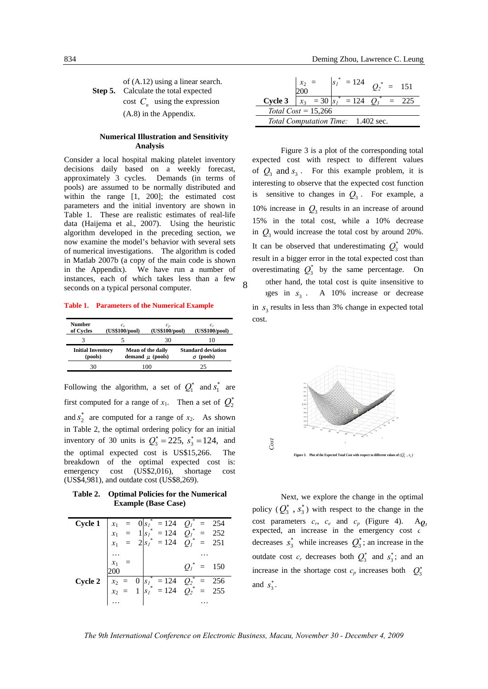of (A.12) using a linear search. **Step 5.** Calculate the total expected cost  $C_n$  using the expression (A.8) in the Appendix.

#### **Numerical Illustration and Sensitivity Analysis**

Consider a local hospital making platelet inventory decisions daily based on a weekly forecast, approximately 3 cycles. Demands (in terms of pools) are assumed to be normally distributed and within the range [1, 200]; the estimated cost parameters and the initial inventory are shown in Table 1. These are realistic estimates of real-life data (Haijema et al., 2007). Using the heuristic algorithm developed in the preceding section, we now examine the model's behavior with several sets of numerical investigations. The algorithm is coded in Matlab 2007b (a copy of the main code is shown in the Appendix). We have run a number of instances, each of which takes less than a few seconds on a typical personal computer.

**Table 1. Parameters of the Numerical Example** 

| Number<br>of Cycles                 | $c_{\circ}$<br>(US\$100/pool) | (US\$100/pool)                            |  | (US\$100/pool)                            |  |
|-------------------------------------|-------------------------------|-------------------------------------------|--|-------------------------------------------|--|
|                                     |                               | 30                                        |  | 10                                        |  |
| <b>Initial Inventory</b><br>(pools) |                               | Mean of the daily<br>demand $\mu$ (pools) |  | <b>Standard deviation</b><br>(pools)<br>σ |  |
| 30                                  |                               | 1 O C                                     |  | 25                                        |  |

Following the algorithm, a set of  $Q_1^*$  and  $s_1^*$  are first computed for a range of  $x_1$ . Then a set of  $Q_2^*$ and  $s_2^*$  are computed for a range of  $x_2$ . As shown in Table 2, the optimal ordering policy for an initial inventory of 30 units is  $Q_3^* = 225$ ,  $s_3^* = 124$ , and the optimal expected cost is US\$15,266. The breakdown of the optimal expected cost is: emergency cost (US\$2,016), shortage cost (US\$4,981), and outdate cost (US\$8,269).

**Table 2. Optimal Policies for the Numerical Example (Base Case)** 

| Cycle 1 |       | $x_1 = 0$ $s_1^* = 124$ $Q_1^* =$<br>$x_1 = 1$ $s_1^* = 124$ $Q_1^* =$<br>$x_1 = 2$ $s_1^* = 124$ $Q_1^* =$ | 254                |
|---------|-------|-------------------------------------------------------------------------------------------------------------|--------------------|
|         |       |                                                                                                             | 252                |
|         | $x_1$ |                                                                                                             | 251                |
|         |       |                                                                                                             |                    |
|         | $x_1$ |                                                                                                             | $Q_i^*$<br>$= 150$ |
| Cycle 2 |       |                                                                                                             |                    |
|         |       | $x_2 = 0$ $s_1^* = 124$ $Q_2^* = 256$<br>$x_2 = 1$ $s_1^* = 124$ $Q_2^* = 255$                              |                    |
|         |       |                                                                                                             |                    |

|                                    |  |                                  | $= 124$ $Q_2^* = 151$ |  |
|------------------------------------|--|----------------------------------|-----------------------|--|
| Cycle 3                            |  | $x_3 = 30  s_1^{\dagger}  = 124$ |                       |  |
| Total $Cost = 15,266$              |  |                                  |                       |  |
| Total Computation Time: 1.402 sec. |  |                                  |                       |  |

Figure 3 is a plot of the corresponding total expected cost with respect to different values of  $Q_3$  and  $S_3$ . For this example problem, it is interesting to observe that the expected cost function is sensitive to changes in  $Q_3$ . For example, a 10% increase in  $Q_3$  results in an increase of around 15% in the total cost, while a 10% decrease in  $Q_3$  would increase the total cost by around 20%. It can be observed that underestimating  $Q_3^*$  would result in a bigger error in the total expected cost than overestimating  $Q_3^*$  by the same percentage. On other hand, the total cost is quite insensitive to ges in  $s<sub>3</sub>$ . A 10% increase or decrease in  $s<sub>3</sub>$  results in less than 3% change in expected total



Next, we explore the change in the optimal policy  $(Q_3^*, s_3^*)$  with respect to the change in the cost parameters  $c_r$ ,  $c_e$  and  $c_p$  (Figure 4). A $q_3$ expected, an increase in the emergency cost *c* decreases  $s_3^*$  while increases  $Q_3^*$ ; an increase in the outdate cost  $c_r$  decreases both  $Q_3^*$  and  $s_3^*$ ; and an increase in the shortage cost  $c_p$  increases both  $Q_3^*$ and  $s^*$ . ∗ contract contract contract contract contract contract contract contract contract contract contract contract contract contract contract contract contract contract contract contract contract contract contract contract con

cost.

8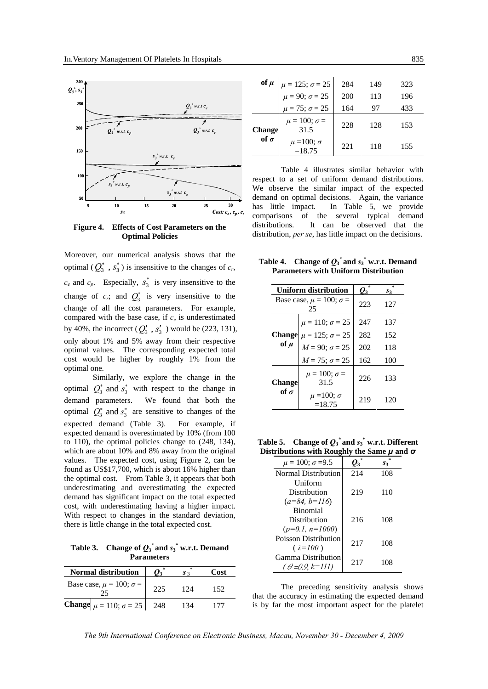

**Figure 4. Effects of Cost Parameters on the Optimal Policies** 

Moreover, our numerical analysis shows that the optimal  $(Q_3^*$ ,  $s_3^*$ ) is insensitive to the changes of  $c_r$ ,  $c_e$  and  $c_p$ . Especially,  $s_3^*$  is very insensitive to the change of  $c_r$ ; and  $Q_3^*$  is very insensitive to the change of all the cost parameters. For example, compared with the base case, if  $c_e$  is underestimated by 40%, the incorrect  $(Q'_3, s'_3)$  would be (223, 131), only about 1% and 5% away from their respective optimal values. The corresponding expected total cost would be higher by roughly 1% from the optimal one.

Similarly, we explore the change in the optimal  $Q_3^*$  and  $s_3^*$  with respect to the change in demand parameters. We found that both the optimal  $Q_3^*$  and  $s_3^*$  are sensitive to changes of the expected demand (Table 3). For example, if expected demand is overestimated by 10% (from 100 to 110), the optimal policies change to (248, 134), which are about 10% and 8% away from the original values. The expected cost, using Figure 2, can be found as US\$17,700, which is about 16% higher than the optimal cost. From Table 3, it appears that both underestimating and overestimating the expected demand has significant impact on the total expected cost, with underestimating having a higher impact. With respect to changes in the standard deviation, there is little change in the total expected cost.

**Table 3.** Change of  $Q_3$ <sup>\*</sup> and  $s_3$ <sup>\*</sup> w.r.t. Demand **Parameters** 

| <b>Normal distribution</b>             |      | $S_3$ | Cost |
|----------------------------------------|------|-------|------|
| Base case, $\mu = 100$ ; $\sigma =$    | 225  | 124   | 152  |
| <b>Change</b> $\mu = 110; \sigma = 25$ | -248 | 134   | 177  |

|               | of $\mu$ $\mu = 125; \sigma = 25$<br>$\mu = 90; \sigma = 25$<br>$\mu = 75; \sigma = 25$ | 284  | 149 | 323 |
|---------------|-----------------------------------------------------------------------------------------|------|-----|-----|
|               |                                                                                         | 200  | 113 | 196 |
|               |                                                                                         | 164  | 97  | 433 |
| <b>Change</b> | $\mu = 100; \sigma =$<br>31.5                                                           | 228  | 128 | 153 |
| of $\sigma$   | $\mu$ =100; $\sigma$<br>$=18.75$                                                        | 22.1 | 118 | 155 |

Table 4 illustrates similar behavior with respect to a set of uniform demand distributions. We observe the similar impact of the expected demand on optimal decisions. Again, the variance has little impact. In Table 5, we provide comparisons of the several typical demand distributions. It can be observed that the distribution, *per se*, has little impact on the decisions.

**Table 4.** Change of  $Q_3$ <sup>\*</sup> and  $s_3$ <sup>\*</sup> w.r.t. Demand **Parameters with Uniform Distribution** 

|                                           | Uniform distribution               | о,  | $S_3$ |
|-------------------------------------------|------------------------------------|-----|-------|
| Base case, $\mu = 100$ ; $\sigma =$<br>25 |                                    | 223 | 127   |
|                                           | $\mu = 110; \sigma = 25$           | 247 | 137   |
|                                           | Change $\mu = 125$ ; $\sigma = 25$ | 282 | 152   |
| of $\mu$                                  | $M = 90; \sigma = 25$              | 202 | 118   |
|                                           | $M = 75; \sigma = 25$              | 162 | 100   |
| Change                                    | $\mu = 100$ ; $\sigma =$<br>31.5   | 226 | 133   |
| of $\sigma$                               | $\mu$ =100; $\sigma$<br>$=18.75$   | 219 | 120   |

**Table 5.** Change of  $Q_3^*$  and  $s_3^*$  w.r.t. Different **Distributions with Roughly the Same** *μ* **and** *σ*

| $\mu = 100; \sigma = 9.5$   |     | S3  |
|-----------------------------|-----|-----|
| Normal Distribution         | 214 | 108 |
| <b>Uniform</b>              |     |     |
| Distribution                | 219 | 110 |
| $(a=84, b=116)$             |     |     |
| <b>Binomial</b>             |     |     |
| Distribution                | 216 | 108 |
| $(p=0.1, n=1000)$           |     |     |
| <b>Poisson Distribution</b> | 217 | 108 |
| $(\lambda = 100)$           |     |     |
| Gamma Distribution          | 217 | 108 |
| $(\theta = 0.9, k = 111)$   |     |     |

The preceding sensitivity analysis shows that the accuracy in estimating the expected demand is by far the most important aspect for the platelet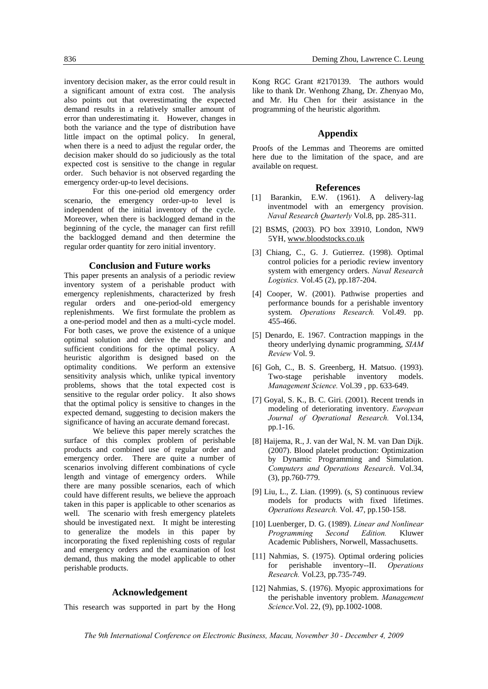inventory decision maker, as the error could result in a significant amount of extra cost. The analysis also points out that overestimating the expected demand results in a relatively smaller amount of error than underestimating it. However, changes in both the variance and the type of distribution have little impact on the optimal policy. In general, when there is a need to adjust the regular order, the decision maker should do so judiciously as the total expected cost is sensitive to the change in regular order. Such behavior is not observed regarding the emergency order-up-to level decisions.

For this one-period old emergency order scenario, the emergency order-up-to level is independent of the initial inventory of the cycle. Moreover, when there is backlogged demand in the beginning of the cycle, the manager can first refill the backlogged demand and then determine the regular order quantity for zero initial inventory.

#### **Conclusion and Future works**

This paper presents an analysis of a periodic review inventory system of a perishable product with emergency replenishments, characterized by fresh regular orders and one-period-old emergency replenishments. We first formulate the problem as a one-period model and then as a multi-cycle model. For both cases, we prove the existence of a unique optimal solution and derive the necessary and sufficient conditions for the optimal policy. A heuristic algorithm is designed based on the optimality conditions. We perform an extensive sensitivity analysis which, unlike typical inventory problems, shows that the total expected cost is sensitive to the regular order policy. It also shows that the optimal policy is sensitive to changes in the expected demand, suggesting to decision makers the significance of having an accurate demand forecast.

We believe this paper merely scratches the surface of this complex problem of perishable products and combined use of regular order and emergency order. There are quite a number of scenarios involving different combinations of cycle length and vintage of emergency orders. While there are many possible scenarios, each of which could have different results, we believe the approach taken in this paper is applicable to other scenarios as well. The scenario with fresh emergency platelets should be investigated next. It might be interesting to generalize the models in this paper by incorporating the fixed replenishing costs of regular and emergency orders and the examination of lost demand, thus making the model applicable to other perishable products.

#### **Acknowledgement**

This research was supported in part by the Hong

Kong RGC Grant #2170139. The authors would like to thank Dr. Wenhong Zhang, Dr. Zhenyao Mo, and Mr. Hu Chen for their assistance in the programming of the heuristic algorithm.

## **Appendix**

Proofs of the Lemmas and Theorems are omitted here due to the limitation of the space, and are available on request.

#### **References**

- [1] Barankin, E.W. (1961). A delivery-lag inventmodel with an emergency provision. *Naval Research Quarterly* Vol.8, pp. 285-311.
- [2] BSMS, (2003). PO box 33910, London, NW9 5YH, www.bloodstocks.co.uk
- [3] Chiang, C., G. J. Gutierrez. (1998). Optimal control policies for a periodic review inventory system with emergency orders. *Naval Research Logistics.* Vol.45 (2), pp.187-204.
- [4] Cooper, W. (2001). Pathwise properties and performance bounds for a perishable inventory system. *Operations Research.* Vol.49. pp. 455-466.
- [5] Denardo, E. 1967. Contraction mappings in the theory underlying dynamic programming, *SIAM Review* Vol. 9.
- [6] Goh, C., B. S. Greenberg, H. Matsuo. (1993). Two-stage perishable inventory models. *Management Science.* Vol.39 , pp. 633-649.
- [7] Goyal, S. K., B. C. Giri. (2001). Recent trends in modeling of deteriorating inventory. *European Journal of Operational Research.* Vol.134, pp.1-16.
- [8] Haijema, R., J. van der Wal, N. M. van Dan Dijk. (2007). Blood platelet production: Optimization by Dynamic Programming and Simulation. *Computers and Operations Research*. Vol.34, (3), pp.760-779.
- [9] Liu, L., Z. Lian. (1999). (s, S) continuous review models for products with fixed lifetimes. *Operations Research.* Vol. 47, pp.150-158.
- [10] Luenberger, D. G. (1989). *Linear and Nonlinear Programming Second Edition.* Kluwer Academic Publishers, Norwell, Massachusetts.
- [11] Nahmias, S. (1975). Optimal ordering policies for perishable inventory--II. *Operations Research.* Vol.23, pp.735-749.
- [12] Nahmias, S. (1976). Myopic approximations for the perishable inventory problem. *Management Science*.Vol. 22, (9), pp.1002-1008.